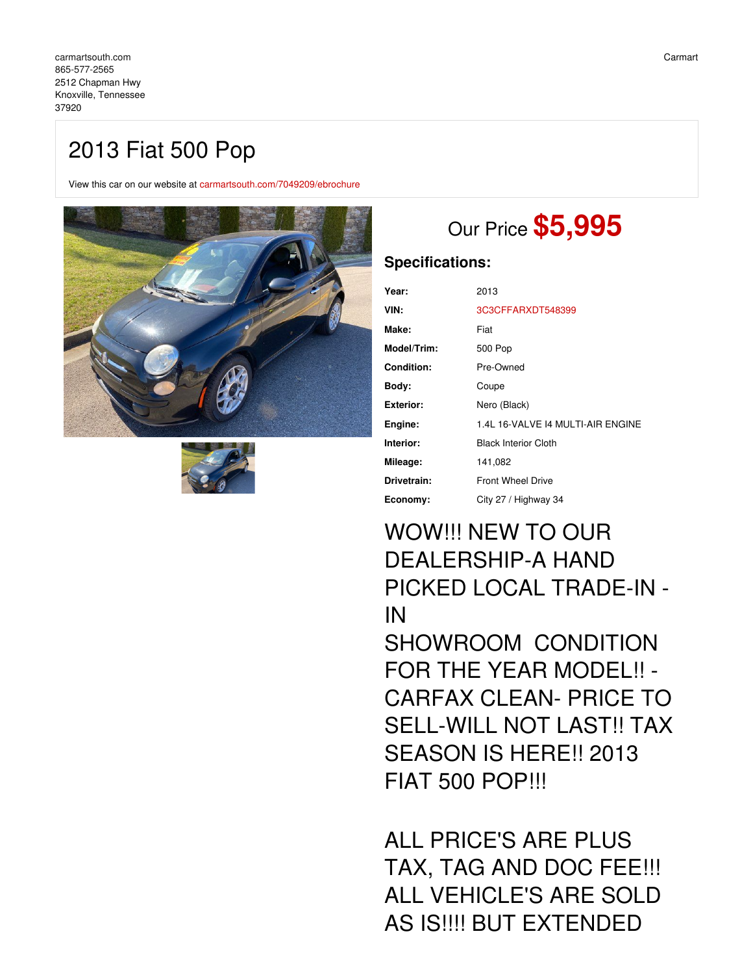## 2013 Fiat 500 Pop

View this car on our website at [carmartsouth.com/7049209/ebrochure](https://carmartsouth.com/vehicle/7049209/2013-fiat-500-pop-knoxville-tennessee-37920/7049209/ebrochure)





# Our Price **\$5,995**

### **Specifications:**

| Year:            | 2013                              |
|------------------|-----------------------------------|
| VIN:             | 3C3CFFARXDT548399                 |
| Make:            | Fiat                              |
| Model/Trim:      | 500 Pop                           |
| Condition:       | Pre-Owned                         |
| Body:            | Coupe                             |
| <b>Exterior:</b> | Nero (Black)                      |
| Engine:          | 1.4L 16-VALVE 14 MULTI-AIR ENGINE |
| Interior:        | <b>Black Interior Cloth</b>       |
| Mileage:         | 141,082                           |
| Drivetrain:      | <b>Front Wheel Drive</b>          |
| Economy:         | City 27 / Highway 34              |

## WOW!!! NEW TO OUR DEALERSHIP-A HAND PICKED LOCAL TRADE-IN - IN SHOWROOM CONDITION FOR THE YEAR MODEL!! - CARFAX CLEAN- PRICE TO SELL-WILL NOT LAST!! TAX SEASON IS HERE!! 2013 FIAT 500 POP!!!

ALL PRICE'S ARE PLUS TAX, TAG AND DOC FEE!!! ALL VEHICLE'S ARE SOLD AS IS!!!! BUT EXTENDED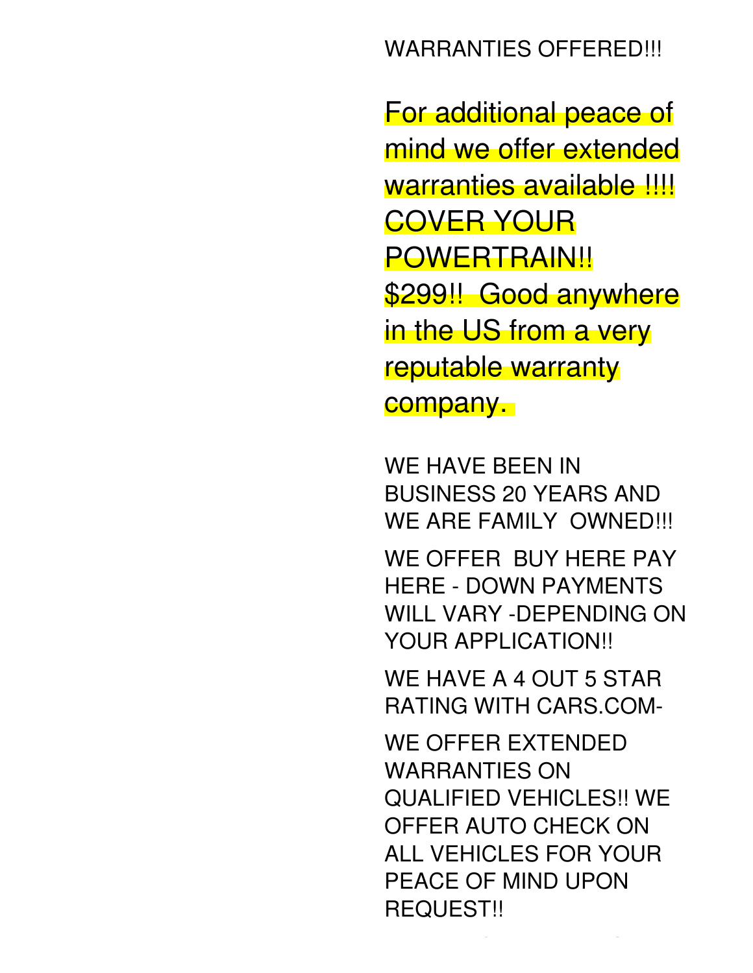## WARRANTIES OFFERED!!!

For additional peace of mind we offer extended warranties available !!!! COVER YOUR **POWERTRAIN!!** \$299!! Good anywhere in the US from a very reputable warranty company.

WE HAVE BEEN IN BUSINESS 20 YEARS AND WE ARE FAMILY OWNED!!!

WE OFFER BUY HERE PAY HERE - DOWN PAYMENTS WILL VARY -DEPENDING ON YOUR APPLICATION!!

WE HAVE A 4 OUT 5 STAR RATING WITH CARS.COM-

WE OFFER EXTENDED WARRANTIES ON QUALIFIED VEHICLES!! WE OFFER AUTO CHECK ON ALL VEHICLES FOR YOUR PEACE OF MIND UPON REQUEST!!

WE ARE OPEN 6 DAYS A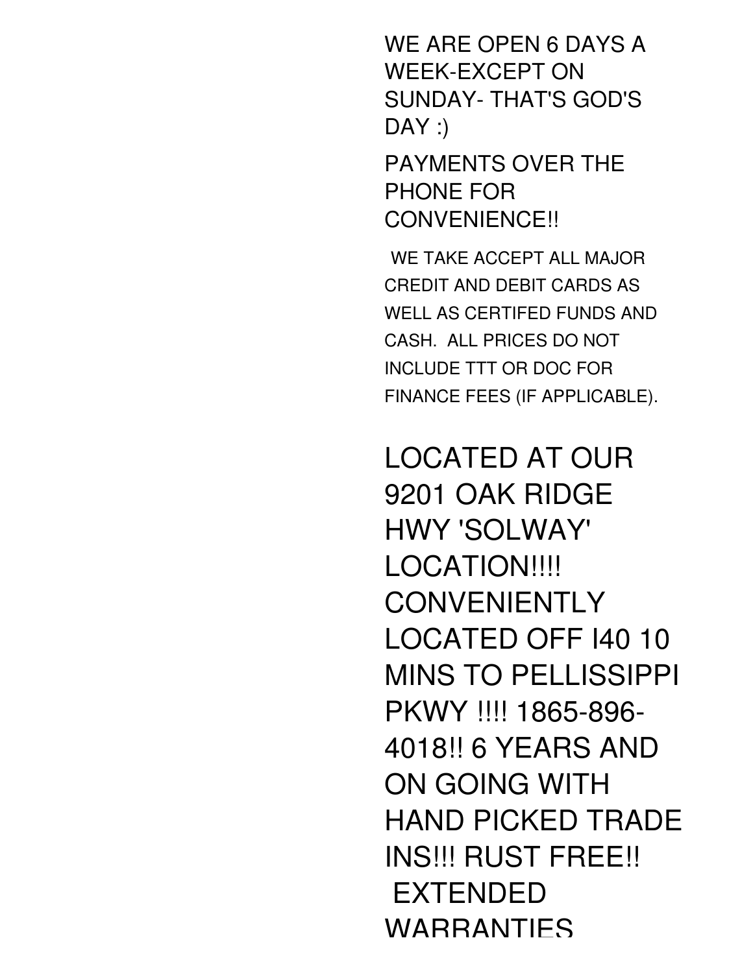WE ARE OPEN 6 DAYS A WEEK-EXCEPT ON SUNDAY- THAT'S GOD'S  $DAY:$ 

PAYMENTS OVER THE PHONE FOR CONVENIENCE!!

WE TAKE ACCEPT ALL MAJOR CREDIT AND DEBIT CARDS AS WELL AS CERTIFED FUNDS AND CASH. ALL PRICES DO NOT INCLUDE TTT OR DOC FOR FINANCE FEES (IF APPLICABLE).

LOCATED AT OUR 9201 OAK RIDGE HWY 'SOLWAY' LOCATION!!!! **CONVENIENTLY** LOCATED OFF I40 10 MINS TO PELLISSIPPI PKWY !!!! 1865-896- 4018!! 6 YEARS AND ON GOING WITH HAND PICKED TRADE INS!!! RUST FREE!! EXTENDED WARRANTIES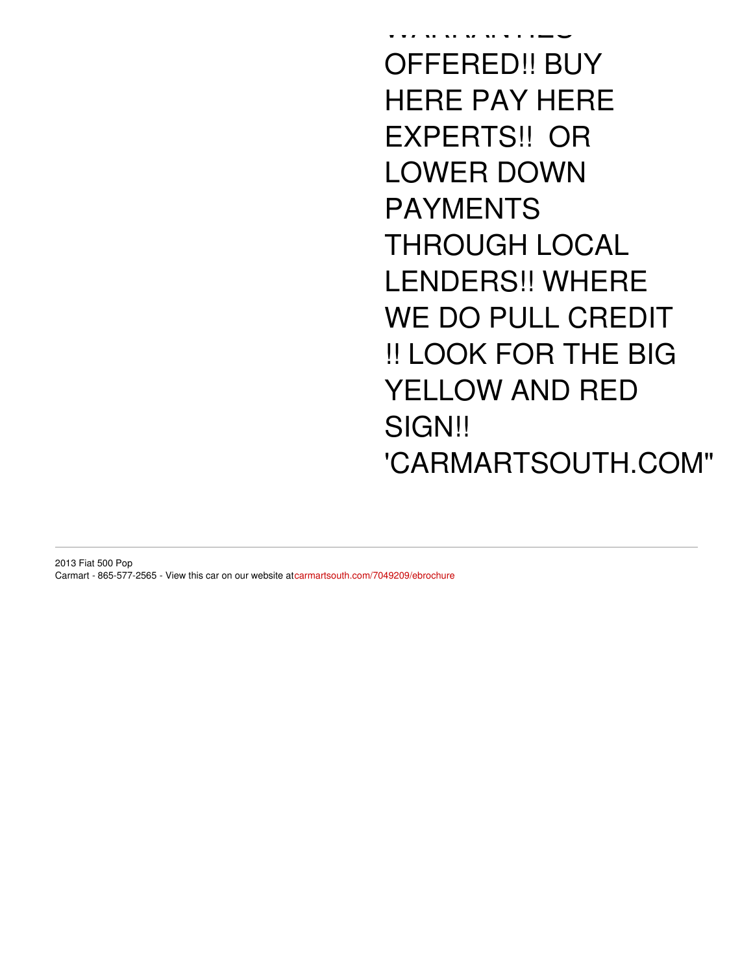warranties OFFERED!! BUY HERE PAY HERE EXPERTS!! OR LOWER DOWN PAYMENTS THROUGH LOCAL LENDERS!! WHERE WE DO PULL CREDIT !! LOOK FOR THE BIG YELLOW AND RED SIGN!! 'CARMARTSOUTH.COM"

2013 Fiat 500 Pop Carmart - 865-577-2565 - View this car on our website at[carmartsouth.com/7049209/ebrochure](https://carmartsouth.com/vehicle/7049209/2013-fiat-500-pop-knoxville-tennessee-37920/7049209/ebrochure)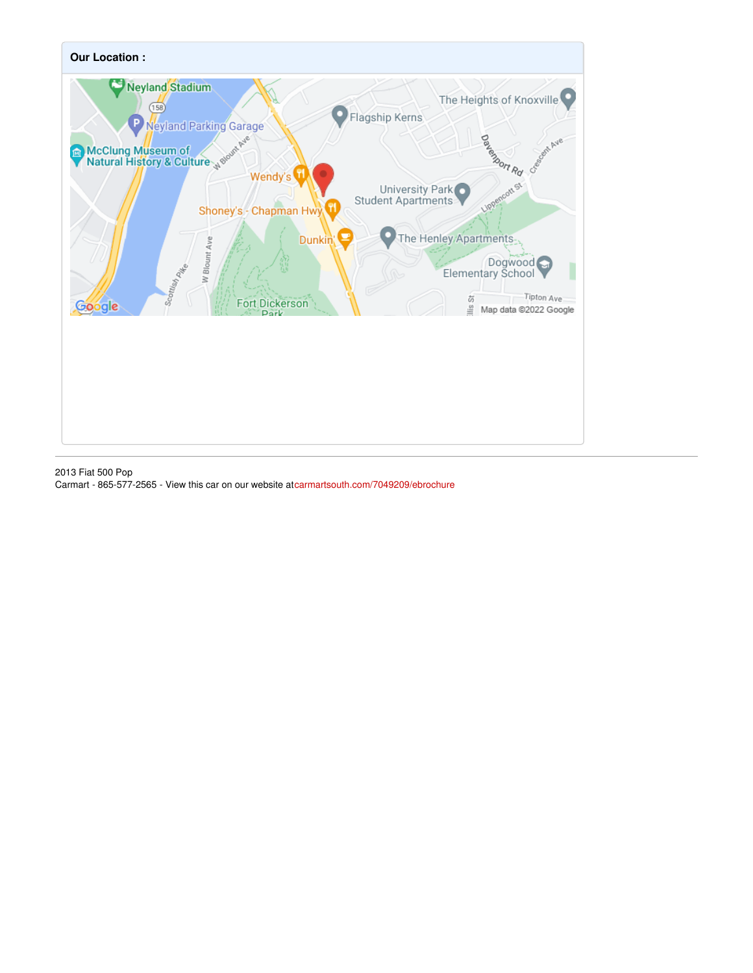

2013 Fiat 500 Pop Carmart - 865-577-2565 - View this car on our website at[carmartsouth.com/7049209/ebrochure](https://carmartsouth.com/vehicle/7049209/2013-fiat-500-pop-knoxville-tennessee-37920/7049209/ebrochure)